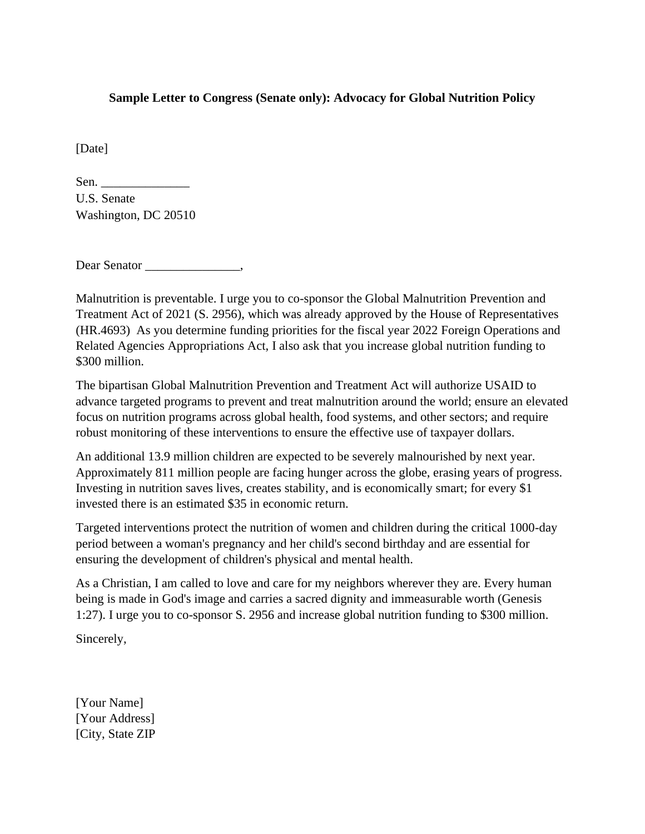## **Sample Letter to Congress (Senate only): Advocacy for Global Nutrition Policy**

[Date]

| Sen.                 |  |
|----------------------|--|
| U.S. Senate          |  |
| Washington, DC 20510 |  |

Dear Senator \_\_\_\_\_\_\_\_\_\_\_\_\_\_\_,

Malnutrition is preventable. I urge you to co-sponsor the Global Malnutrition Prevention and Treatment Act of 2021 (S. 2956), which was already approved by the House of Representatives (HR.4693) As you determine funding priorities for the fiscal year 2022 Foreign Operations and Related Agencies Appropriations Act, I also ask that you increase global nutrition funding to \$300 million.

The bipartisan Global Malnutrition Prevention and Treatment Act will authorize USAID to advance targeted programs to prevent and treat malnutrition around the world; ensure an elevated focus on nutrition programs across global health, food systems, and other sectors; and require robust monitoring of these interventions to ensure the effective use of taxpayer dollars.

An additional 13.9 million children are expected to be severely malnourished by next year. Approximately 811 million people are facing hunger across the globe, erasing years of progress. Investing in nutrition saves lives, creates stability, and is economically smart; for every \$1 invested there is an estimated \$35 in economic return.

Targeted interventions protect the nutrition of women and children during the critical 1000-day period between a woman's pregnancy and her child's second birthday and are essential for ensuring the development of children's physical and mental health.

As a Christian, I am called to love and care for my neighbors wherever they are. Every human being is made in God's image and carries a sacred dignity and immeasurable worth (Genesis 1:27). I urge you to co-sponsor S. 2956 and increase global nutrition funding to \$300 million.

Sincerely,

[Your Name] [Your Address] [City, State ZIP